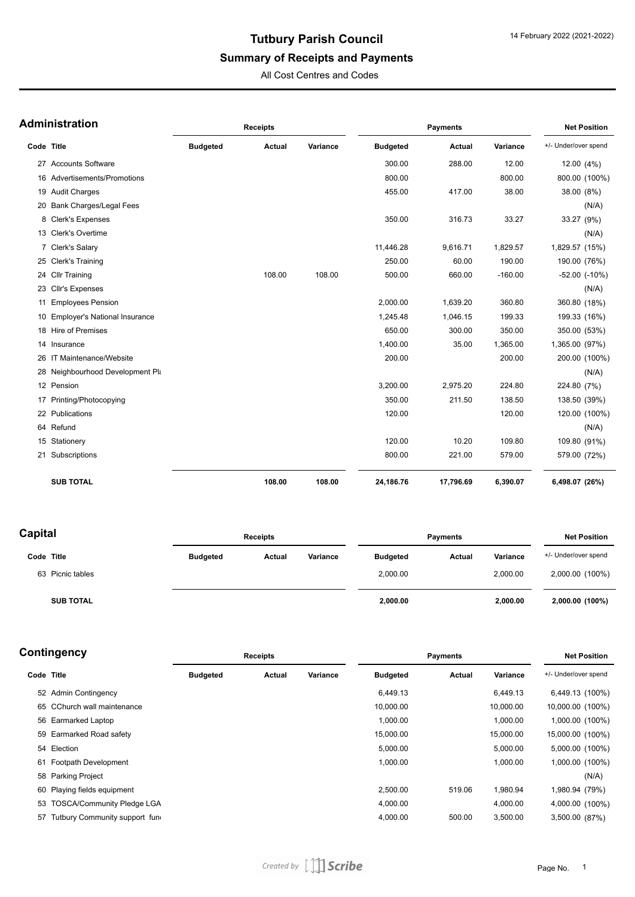## **Tutbury Parish Council**

# **Summary of Receipts and Payments**

All Cost Centres and Codes

| <b>Administration</b> |  |
|-----------------------|--|
|-----------------------|--|

|                | ∖dministration                   |                 | <b>Receipts</b> |          |                 | <b>Net Position</b> |           |                      |
|----------------|----------------------------------|-----------------|-----------------|----------|-----------------|---------------------|-----------|----------------------|
| Code Title     |                                  | <b>Budgeted</b> | Actual          | Variance | <b>Budgeted</b> | Actual              | Variance  | +/- Under/over spend |
|                | 27 Accounts Software             |                 |                 |          | 300.00          | 288.00              | 12.00     | 12.00 (4%)           |
| 16             | Advertisements/Promotions        |                 |                 |          | 800.00          |                     | 800.00    | 800.00 (100%)        |
|                | 19 Audit Charges                 |                 |                 |          | 455.00          | 417.00              | 38.00     | 38.00 (8%)           |
| 20             | <b>Bank Charges/Legal Fees</b>   |                 |                 |          |                 |                     |           | (N/A)                |
| 8              | Clerk's Expenses                 |                 |                 |          | 350.00          | 316.73              | 33.27     | 33.27 (9%)           |
|                | 13 Clerk's Overtime              |                 |                 |          |                 |                     |           | (N/A)                |
| $\overline{7}$ | <b>Clerk's Salary</b>            |                 |                 |          | 11,446.28       | 9,616.71            | 1,829.57  | 1,829.57 (15%)       |
|                | 25 Clerk's Training              |                 |                 |          | 250.00          | 60.00               | 190.00    | 190.00 (76%)         |
|                | 24 Cllr Training                 |                 | 108.00          | 108.00   | 500.00          | 660.00              | $-160.00$ | $-52.00$ $(-10%)$    |
|                | 23 Cllr's Expenses               |                 |                 |          |                 |                     |           | (N/A)                |
|                | 11 Employees Pension             |                 |                 |          | 2,000.00        | 1,639.20            | 360.80    | 360.80 (18%)         |
|                | 10 Employer's National Insurance |                 |                 |          | 1,245.48        | 1,046.15            | 199.33    | 199.33 (16%)         |
|                | 18 Hire of Premises              |                 |                 |          | 650.00          | 300.00              | 350.00    | 350.00 (53%)         |
| 14             | Insurance                        |                 |                 |          | 1,400.00        | 35.00               | 1,365.00  | 1,365.00 (97%)       |
|                | 26 IT Maintenance/Website        |                 |                 |          | 200.00          |                     | 200.00    | 200.00 (100%)        |
|                | 28 Neighbourhood Development Pla |                 |                 |          |                 |                     |           | (N/A)                |
|                | 12 Pension                       |                 |                 |          | 3,200.00        | 2,975.20            | 224.80    | 224.80 (7%)          |
|                | 17 Printing/Photocopying         |                 |                 |          | 350.00          | 211.50              | 138.50    | 138.50 (39%)         |
|                | 22 Publications                  |                 |                 |          | 120.00          |                     | 120.00    | 120.00 (100%)        |
|                | 64 Refund                        |                 |                 |          |                 |                     |           | (N/A)                |
|                | 15 Stationery                    |                 |                 |          | 120.00          | 10.20               | 109.80    | 109.80 (91%)         |
| 21             | Subscriptions                    |                 |                 |          | 800.00          | 221.00              | 579.00    | 579.00 (72%)         |
|                | <b>SUB TOTAL</b>                 |                 | 108.00          | 108.00   | 24,186.76       | 17,796.69           | 6,390.07  | 6,498.07 (26%)       |

| Capital          |                 | <b>Receipts</b> |          | Payments        |        | <b>Net Position</b> |                      |
|------------------|-----------------|-----------------|----------|-----------------|--------|---------------------|----------------------|
| Code Title       | <b>Budgeted</b> | Actual          | Variance | <b>Budgeted</b> | Actual | Variance            | +/- Under/over spend |
| 63 Picnic tables |                 |                 |          | 2,000.00        |        | 2,000.00            | 2,000.00 (100%)      |
| <b>SUB TOTAL</b> |                 |                 |          | 2,000.00        |        | 2,000.00            | 2,000.00 (100%)      |

#### **Contingency**

| ∶ontingency |                                   | <b>Receipts</b> |        |          | <b>Payments</b> | <b>Net Position</b> |           |                      |
|-------------|-----------------------------------|-----------------|--------|----------|-----------------|---------------------|-----------|----------------------|
| Code Title  |                                   | <b>Budgeted</b> | Actual | Variance | <b>Budgeted</b> | Actual              | Variance  | +/- Under/over spend |
|             | 52 Admin Contingency              |                 |        |          | 6,449.13        |                     | 6,449.13  | 6,449.13 (100%)      |
|             | 65 CChurch wall maintenance       |                 |        |          | 10,000.00       |                     | 10,000.00 | 10,000.00 (100%)     |
|             | 56 Earmarked Laptop               |                 |        |          | 1,000.00        |                     | 1,000.00  | 1,000.00 (100%)      |
|             | 59 Earmarked Road safety          |                 |        |          | 15,000.00       |                     | 15,000.00 | 15,000.00 (100%)     |
|             | 54 Election                       |                 |        |          | 5,000.00        |                     | 5,000.00  | 5,000.00 (100%)      |
|             | 61 Footpath Development           |                 |        |          | 1,000.00        |                     | 1,000.00  | 1,000.00 (100%)      |
|             | 58 Parking Project                |                 |        |          |                 |                     |           | (N/A)                |
|             | 60 Playing fields equipment       |                 |        |          | 2,500.00        | 519.06              | 1,980.94  | 1,980.94 (79%)       |
|             | 53 TOSCA/Community Pledge LGA     |                 |        |          | 4,000.00        |                     | 4,000.00  | 4,000.00 (100%)      |
|             | 57 Tutbury Community support fund |                 |        |          | 4,000.00        | 500.00              | 3,500.00  | 3,500.00 (87%)       |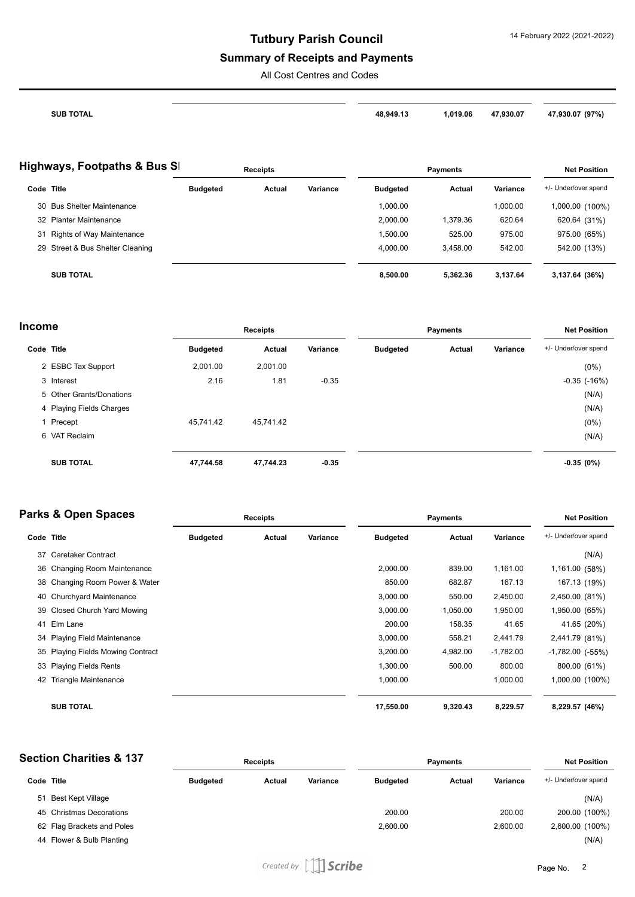## **Tutbury Parish Council**

#### **Summary of Receipts and Payments**

All Cost Centres and Codes

| <b>SUB TOTAL</b> | 48.949.13 | ,019.06 | 47,930.07<br>$  -$ | 930.07 (97%)<br>4 |
|------------------|-----------|---------|--------------------|-------------------|

| <b>Highways, Footpaths &amp; Bus SI</b> |                                  | <b>Receipts</b> |        | <b>Payments</b> |                 |               | <b>Net Position</b> |                      |
|-----------------------------------------|----------------------------------|-----------------|--------|-----------------|-----------------|---------------|---------------------|----------------------|
| Code Title                              |                                  | <b>Budgeted</b> | Actual | Variance        | <b>Budgeted</b> | <b>Actual</b> | Variance            | +/- Under/over spend |
|                                         | 30 Bus Shelter Maintenance       |                 |        |                 | 1,000.00        |               | 00.000,1            | 1,000.00 (100%)      |
|                                         | 32 Planter Maintenance           |                 |        |                 | 2.000.00        | 1.379.36      | 620.64              | 620.64 (31%)         |
| 31                                      | Rights of Way Maintenance        |                 |        |                 | 1,500.00        | 525.00        | 975.00              | 975.00 (65%)         |
|                                         | 29 Street & Bus Shelter Cleaning |                 |        |                 | 4.000.00        | 3.458.00      | 542.00              | 542.00 (13%)         |
|                                         | <b>SUB TOTAL</b>                 |                 |        |                 | 8.500.00        | 5.362.36      | 3.137.64            | 3,137.64 (36%)       |

|                 | <b>Receipts</b>                                      |          |                 |        |                 | <b>Net Position</b>  |  |
|-----------------|------------------------------------------------------|----------|-----------------|--------|-----------------|----------------------|--|
| <b>Budgeted</b> | <b>Actual</b>                                        | Variance | <b>Budgeted</b> | Actual | Variance        | +/- Under/over spend |  |
| 2,001.00        | 2,001.00                                             |          |                 |        |                 | $(0\%)$              |  |
| 2.16            | 1.81                                                 | $-0.35$  |                 |        |                 | $-0.35$ $(-16%)$     |  |
|                 |                                                      |          |                 |        |                 | (N/A)                |  |
|                 |                                                      |          |                 |        |                 | (N/A)                |  |
| 45.741.42       | 45,741.42                                            |          |                 |        |                 | $(0\%)$              |  |
|                 |                                                      |          |                 |        |                 | (N/A)                |  |
| 47,744.58       | 47,744.23                                            | $-0.35$  |                 |        |                 | $-0.35(0%)$          |  |
|                 | 5 Other Grants/Donations<br>4 Playing Fields Charges |          |                 |        | <b>Payments</b> |                      |  |

| <b>Parks &amp; Open Spaces</b> |                                   |                 | <b>Receipts</b> |          |                 | <b>Net Position</b> |             |                      |
|--------------------------------|-----------------------------------|-----------------|-----------------|----------|-----------------|---------------------|-------------|----------------------|
| Code Title                     |                                   | <b>Budgeted</b> | Actual          | Variance | <b>Budgeted</b> | Actual              | Variance    | +/- Under/over spend |
| 37                             | Caretaker Contract                |                 |                 |          |                 |                     |             | (N/A)                |
|                                | 36 Changing Room Maintenance      |                 |                 |          | 2,000.00        | 839.00              | 1,161.00    | 1,161.00 (58%)       |
|                                | 38 Changing Room Power & Water    |                 |                 |          | 850.00          | 682.87              | 167.13      | 167.13 (19%)         |
|                                | 40 Churchyard Maintenance         |                 |                 |          | 3,000.00        | 550.00              | 2,450.00    | 2,450.00 (81%)       |
| 39                             | Closed Church Yard Mowing         |                 |                 |          | 3,000.00        | 1,050.00            | 1,950.00    | 1,950.00 (65%)       |
| 41                             | Elm Lane                          |                 |                 |          | 200.00          | 158.35              | 41.65       | 41.65 (20%)          |
|                                | 34 Playing Field Maintenance      |                 |                 |          | 3,000.00        | 558.21              | 2,441.79    | 2,441.79 (81%)       |
|                                | 35 Playing Fields Mowing Contract |                 |                 |          | 3,200.00        | 4,982.00            | $-1,782.00$ | $-1,782.00$ $(-55%)$ |
|                                | 33 Playing Fields Rents           |                 |                 |          | 1,300.00        | 500.00              | 800.00      | 800.00 (61%)         |
| 42                             | Triangle Maintenance              |                 |                 |          | 1,000.00        |                     | 1,000.00    | 1,000.00 (100%)      |
|                                | <b>SUB TOTAL</b>                  |                 |                 |          | 17,550.00       | 9,320.43            | 8,229.57    | 8,229.57 (46%)       |

| <b>Section Charities &amp; 137</b> |                            | <b>Receipts</b> |        |          | <b>Payments</b> |               |          | <b>Net Position</b>  |  |
|------------------------------------|----------------------------|-----------------|--------|----------|-----------------|---------------|----------|----------------------|--|
| Code Title                         |                            | <b>Budgeted</b> | Actual | Variance | <b>Budgeted</b> | <b>Actual</b> | Variance | +/- Under/over spend |  |
| 51                                 | Best Kept Village          |                 |        |          |                 |               |          | (N/A)                |  |
|                                    | 45 Christmas Decorations   |                 |        |          | 200.00          |               | 200.00   | 200.00 (100%)        |  |
|                                    | 62 Flag Brackets and Poles |                 |        |          | 2.600.00        |               | 2.600.00 | 2,600.00 (100%)      |  |
|                                    | 44 Flower & Bulb Planting  |                 |        |          |                 |               |          | (N/A)                |  |